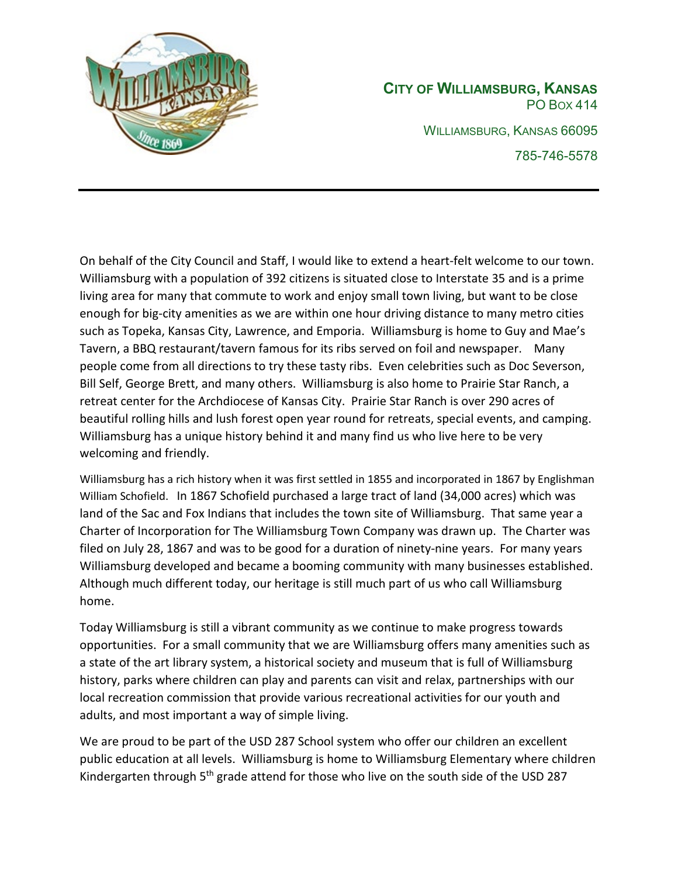

**CITY OF WILLIAMSBURG, KANSAS** PO BOX 414 WILLIAMSBURG, KANSAS 66095 785-746-5578

On behalf of the City Council and Staff, I would like to extend a heart-felt welcome to our town. Williamsburg with a population of 392 citizens is situated close to Interstate 35 and is a prime living area for many that commute to work and enjoy small town living, but want to be close enough for big-city amenities as we are within one hour driving distance to many metro cities such as Topeka, Kansas City, Lawrence, and Emporia. Williamsburg is home to Guy and Mae's Tavern, a BBQ restaurant/tavern famous for its ribs served on foil and newspaper. Many people come from all directions to try these tasty ribs. Even celebrities such as Doc Severson, Bill Self, George Brett, and many others. Williamsburg is also home to Prairie Star Ranch, a retreat center for the Archdiocese of Kansas City. Prairie Star Ranch is over 290 acres of beautiful rolling hills and lush forest open year round for retreats, special events, and camping. Williamsburg has a unique history behind it and many find us who live here to be very welcoming and friendly.

Williamsburg has a rich history when it was first settled in 1855 and incorporated in 1867 by Englishman William Schofield. In 1867 Schofield purchased a large tract of land (34,000 acres) which was land of the Sac and Fox Indians that includes the town site of Williamsburg. That same year a Charter of Incorporation for The Williamsburg Town Company was drawn up. The Charter was filed on July 28, 1867 and was to be good for a duration of ninety-nine years. For many years Williamsburg developed and became a booming community with many businesses established. Although much different today, our heritage is still much part of us who call Williamsburg home.

Today Williamsburg is still a vibrant community as we continue to make progress towards opportunities. For a small community that we are Williamsburg offers many amenities such as a state of the art library system, a historical society and museum that is full of Williamsburg history, parks where children can play and parents can visit and relax, partnerships with our local recreation commission that provide various recreational activities for our youth and adults, and most important a way of simple living.

We are proud to be part of the USD 287 School system who offer our children an excellent public education at all levels. Williamsburg is home to Williamsburg Elementary where children Kindergarten through 5<sup>th</sup> grade attend for those who live on the south side of the USD 287